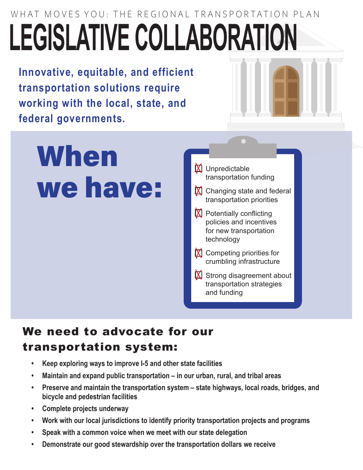WHAT MOVES YOU: THE REGIONAL TRANSPORTATION PLAN **LEGISLATIVE COLLABORATION**

**Innovative, equitable, and efficient transportation solutions require working with the local, state, and federal governments.**

## When we have:



## We need to advocate for our transportation system:

- **• Keep exploring ways to improve I-5 and other state facilities**
- **• Maintain and expand public transportation in our urban, rural, and tribal areas**
- **• Preserve and maintain the transportation system state highways, local roads, bridges, and bicycle and pedestrian facilities**
- **• Complete projects underway**
- **• Work with our local jurisdictions to identify priority transportation projects and programs**
- **• Speak with a common voice when we meet with our state delegation**
- **• Demonstrate our good stewardship over the transportation dollars we receive**